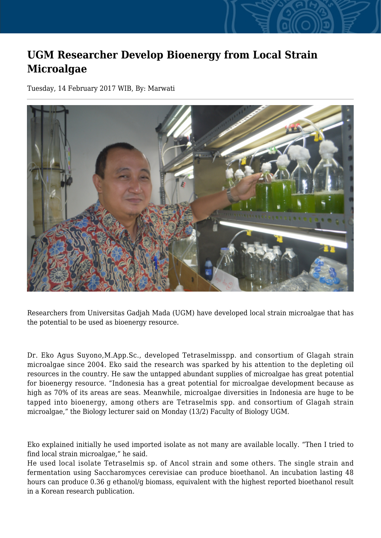## **UGM Researcher Develop Bioenergy from Local Strain Microalgae**

Tuesday, 14 February 2017 WIB, By: Marwati



Researchers from Universitas Gadjah Mada (UGM) have developed local strain microalgae that has the potential to be used as bioenergy resource.

Dr. Eko Agus Suyono,M.App.Sc., developed Tetraselmisspp. and consortium of Glagah strain microalgae since 2004. Eko said the research was sparked by his attention to the depleting oil resources in the country. He saw the untapped abundant supplies of microalgae has great potential for bioenergy resource. "Indonesia has a great potential for microalgae development because as high as 70% of its areas are seas. Meanwhile, microalgae diversities in Indonesia are huge to be tapped into bioenergy, among others are Tetraselmis spp. and consortium of Glagah strain microalgae," the Biology lecturer said on Monday (13/2) Faculty of Biology UGM.

Eko explained initially he used imported isolate as not many are available locally. "Then I tried to find local strain microalgae," he said.

He used local isolate Tetraselmis sp. of Ancol strain and some others. The single strain and fermentation using Saccharomyces cerevisiae can produce bioethanol. An incubation lasting 48 hours can produce 0.36 g ethanol/g biomass, equivalent with the highest reported bioethanol result in a Korean research publication.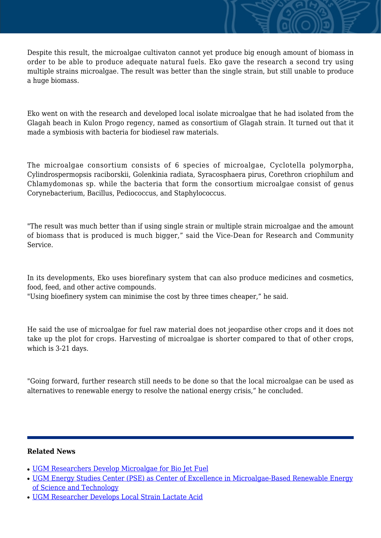Despite this result, the microalgae cultivaton cannot yet produce big enough amount of biomass in order to be able to produce adequate natural fuels. Eko gave the research a second try using multiple strains microalgae. The result was better than the single strain, but still unable to produce a huge biomass.

Eko went on with the research and developed local isolate microalgae that he had isolated from the Glagah beach in Kulon Progo regency, named as consortium of Glagah strain. It turned out that it made a symbiosis with bacteria for biodiesel raw materials.

The microalgae consortium consists of 6 species of microalgae, Cyclotella polymorpha, Cylindrospermopsis raciborskii, Golenkinia radiata, Syracosphaera pirus, Corethron criophilum and Chlamydomonas sp. while the bacteria that form the consortium microalgae consist of genus Corynebacterium, Bacillus, Pediococcus, and Staphylococcus.

"The result was much better than if using single strain or multiple strain microalgae and the amount of biomass that is produced is much bigger," said the Vice-Dean for Research and Community Service.

In its developments, Eko uses biorefinary system that can also produce medicines and cosmetics, food, feed, and other active compounds.

"Using bioefinery system can minimise the cost by three times cheaper," he said.

He said the use of microalgae for fuel raw material does not jeopardise other crops and it does not take up the plot for crops. Harvesting of microalgae is shorter compared to that of other crops, which is 3-21 days.

"Going forward, further research still needs to be done so that the local microalgae can be used as alternatives to renewable energy to resolve the national energy crisis," he concluded.

## **Related News**

- [UGM Researchers Develop Microalgae for Bio Jet Fuel](http://ugm.ac.id/www.ugm.ac.id//en/news/12328-ugm-researcher-develops-local-strain-lactate-acid)
- [UGM Energy Studies Center \(PSE\) as Center of Excellence in Microalgae-Based Renewable Energy](http://ugm.ac.id/www.ugm.ac.id//en/news/18059-ugm-students-develop-edible-fruit-coating-from-microalgae) [of Science and Technology](http://ugm.ac.id/www.ugm.ac.id//en/news/18059-ugm-students-develop-edible-fruit-coating-from-microalgae)
- [UGM Researcher Develops Local Strain Lactate Acid](http://ugm.ac.id/www.ugm.ac.id//en/news/19862-ugm-energy-studies-center-pse-as-center-of-excellence-in-microalgae-based-renewable-energy-of-science-and-technology)